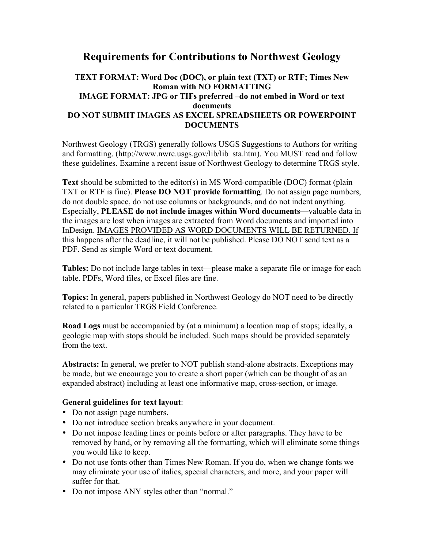## **Requirements for Contributions to Northwest Geology**

## **TEXT FORMAT: Word Doc (DOC), or plain text (TXT) or RTF; Times New Roman with NO FORMATTING IMAGE FORMAT: JPG or TIFs preferred –do not embed in Word or text documents DO NOT SUBMIT IMAGES AS EXCEL SPREADSHEETS OR POWERPOINT DOCUMENTS**

Northwest Geology (TRGS) generally follows USGS Suggestions to Authors for writing and formatting. (http://www.nwrc.usgs.gov/lib/lib\_sta.htm). You MUST read and follow these guidelines. Examine a recent issue of Northwest Geology to determine TRGS style.

**Text** should be submitted to the editor(s) in MS Word-compatible (DOC) format (plain TXT or RTF is fine). **Please DO NOT provide formatting**. Do not assign page numbers, do not double space, do not use columns or backgrounds, and do not indent anything. Especially, **PLEASE do not include images within Word documents**—valuable data in the images are lost when images are extracted from Word documents and imported into InDesign. IMAGES PROVIDED AS WORD DOCUMENTS WILL BE RETURNED. If this happens after the deadline, it will not be published. Please DO NOT send text as a PDF. Send as simple Word or text document.

**Tables:** Do not include large tables in text—please make a separate file or image for each table. PDFs, Word files, or Excel files are fine.

**Topics:** In general, papers published in Northwest Geology do NOT need to be directly related to a particular TRGS Field Conference.

**Road Logs** must be accompanied by (at a minimum) a location map of stops; ideally, a geologic map with stops should be included. Such maps should be provided separately from the text.

**Abstracts:** In general, we prefer to NOT publish stand-alone abstracts. Exceptions may be made, but we encourage you to create a short paper (which can be thought of as an expanded abstract) including at least one informative map, cross-section, or image.

## **General guidelines for text layout**:

- Do not assign page numbers.
- Do not introduce section breaks anywhere in your document.
- Do not impose leading lines or points before or after paragraphs. They have to be removed by hand, or by removing all the formatting, which will eliminate some things you would like to keep.
- Do not use fonts other than Times New Roman. If you do, when we change fonts we may eliminate your use of italics, special characters, and more, and your paper will suffer for that.
- Do not impose ANY styles other than "normal."